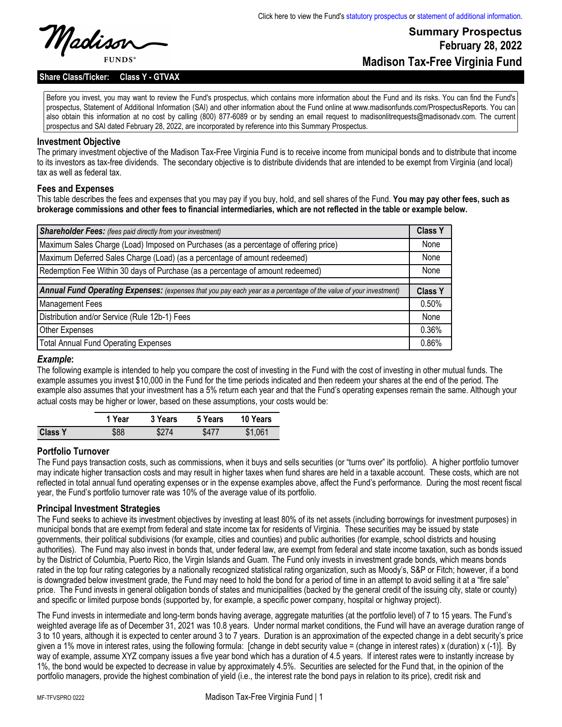# **Summary Prospectus February 28, 2022 Madison Tax-Free Virginia Fund**

**Share Class/Ticker: Class Y - GTVAX**

Before you invest, you may want to review the Fund's prospectus, which contains more information about the Fund and its risks. You can find the Fund's prospectus, Statement of Additional Information (SAI) and other information about the Fund online at www.madisonfunds.com/ProspectusReports. You can also obtain this information at no cost by calling (800) 877-6089 or by sending an email request to madisonlitrequests@madisonadv.com. The current prospectus and SAI dated February 28, 2022, are incorporated by reference into this Summary Prospectus.

#### **Investment Objective**

The primary investment objective of the Madison Tax-Free Virginia Fund is to receive income from municipal bonds and to distribute that income to its investors as tax-free dividends. The secondary objective is to distribute dividends that are intended to be exempt from Virginia (and local) tax as well as federal tax.

### **Fees and Expenses**

This table describes the fees and expenses that you may pay if you buy, hold, and sell shares of the Fund. **You may pay other fees, such as brokerage commissions and other fees to financial intermediaries, which are not reflected in the table or example below.**

| <b>Shareholder Fees:</b> (fees paid directly from your investment)                                                | <b>Class Y</b> |
|-------------------------------------------------------------------------------------------------------------------|----------------|
| Maximum Sales Charge (Load) Imposed on Purchases (as a percentage of offering price)                              | None           |
| Maximum Deferred Sales Charge (Load) (as a percentage of amount redeemed)                                         | None           |
| Redemption Fee Within 30 days of Purchase (as a percentage of amount redeemed)                                    | None           |
|                                                                                                                   |                |
| Annual Fund Operating Expenses: (expenses that you pay each year as a percentage of the value of your investment) | <b>Class Y</b> |
| <b>Management Fees</b>                                                                                            | 0.50%          |
| Distribution and/or Service (Rule 12b-1) Fees                                                                     | None           |
| Other Expenses                                                                                                    | 0.36%          |
| <b>Total Annual Fund Operating Expenses</b>                                                                       | 0.86%          |

#### *Example***:**

The following example is intended to help you compare the cost of investing in the Fund with the cost of investing in other mutual funds. The example assumes you invest \$10,000 in the Fund for the time periods indicated and then redeem your shares at the end of the period. The example also assumes that your investment has a 5% return each year and that the Fund's operating expenses remain the same. Although your actual costs may be higher or lower, based on these assumptions, your costs would be:

|                | 1 Year | 3 Years | 5 Years | 10 Years |
|----------------|--------|---------|---------|----------|
| <b>Class Y</b> | \$88   | \$274   | \$477   | \$1,061  |

### **Portfolio Turnover**

The Fund pays transaction costs, such as commissions, when it buys and sells securities (or "turns over" its portfolio). A higher portfolio turnover may indicate higher transaction costs and may result in higher taxes when fund shares are held in a taxable account. These costs, which are not reflected in total annual fund operating expenses or in the expense examples above, affect the Fund's performance. During the most recent fiscal year, the Fund's portfolio turnover rate was 10% of the average value of its portfolio.

### **Principal Investment Strategies**

The Fund seeks to achieve its investment objectives by investing at least 80% of its net assets (including borrowings for investment purposes) in municipal bonds that are exempt from federal and state income tax for residents of Virginia. These securities may be issued by state governments, their political subdivisions (for example, cities and counties) and public authorities (for example, school districts and housing authorities). The Fund may also invest in bonds that, under federal law, are exempt from federal and state income taxation, such as bonds issued by the District of Columbia, Puerto Rico, the Virgin Islands and Guam. The Fund only invests in investment grade bonds, which means bonds rated in the top four rating categories by a nationally recognized statistical rating organization, such as Moody's, S&P or Fitch; however, if a bond is downgraded below investment grade, the Fund may need to hold the bond for a period of time in an attempt to avoid selling it at a "fire sale" price. The Fund invests in general obligation bonds of states and municipalities (backed by the general credit of the issuing city, state or county) and specific or limited purpose bonds (supported by, for example, a specific power company, hospital or highway project).

The Fund invests in intermediate and long-term bonds having average, aggregate maturities (at the portfolio level) of 7 to 15 years. The Fund's weighted average life as of December 31, 2021 was 10.8 years. Under normal market conditions, the Fund will have an average duration range of 3 to 10 years, although it is expected to center around 3 to 7 years. Duration is an approximation of the expected change in a debt security's price given a 1% move in interest rates, using the following formula: [change in debt security value = (change in interest rates) x (duration) x  $(-1)$ ]. By way of example, assume XYZ company issues a five year bond which has a duration of 4.5 years. If interest rates were to instantly increase by 1%, the bond would be expected to decrease in value by approximately 4.5%. Securities are selected for the Fund that, in the opinion of the portfolio managers, provide the highest combination of yield (i.e., the interest rate the bond pays in relation to its price), credit risk and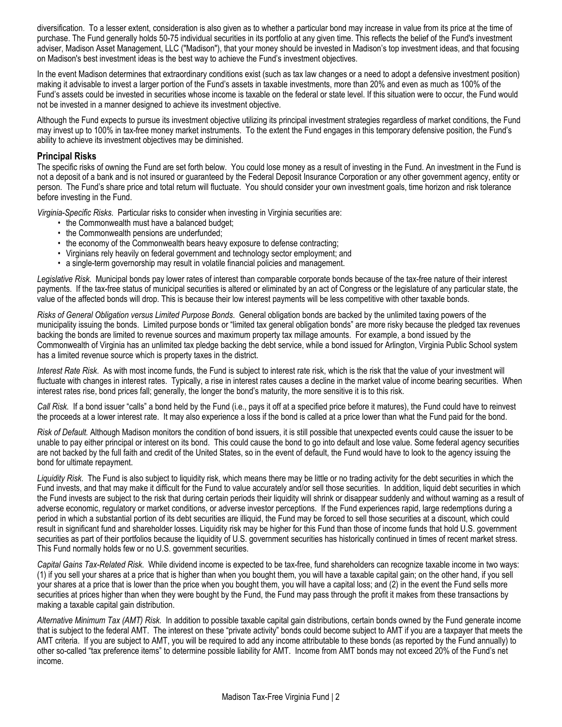diversification. To a lesser extent, consideration is also given as to whether a particular bond may increase in value from its price at the time of purchase. The Fund generally holds 50-75 individual securities in its portfolio at any given time. This reflects the belief of the Fund's investment adviser, Madison Asset Management, LLC ("Madison"), that your money should be invested in Madison's top investment ideas, and that focusing on Madison's best investment ideas is the best way to achieve the Fund's investment objectives.

In the event Madison determines that extraordinary conditions exist (such as tax law changes or a need to adopt a defensive investment position) making it advisable to invest a larger portion of the Fund's assets in taxable investments, more than 20% and even as much as 100% of the Fund's assets could be invested in securities whose income is taxable on the federal or state level. If this situation were to occur, the Fund would not be invested in a manner designed to achieve its investment objective.

Although the Fund expects to pursue its investment objective utilizing its principal investment strategies regardless of market conditions, the Fund may invest up to 100% in tax-free money market instruments. To the extent the Fund engages in this temporary defensive position, the Fund's ability to achieve its investment objectives may be diminished.

### **Principal Risks**

The specific risks of owning the Fund are set forth below. You could lose money as a result of investing in the Fund. An investment in the Fund is not a deposit of a bank and is not insured or guaranteed by the Federal Deposit Insurance Corporation or any other government agency, entity or person. The Fund's share price and total return will fluctuate. You should consider your own investment goals, time horizon and risk tolerance before investing in the Fund.

*Virginia-Specific Risks*. Particular risks to consider when investing in Virginia securities are:

- the Commonwealth must have a balanced budget;
- the Commonwealth pensions are underfunded;
- the economy of the Commonwealth bears heavy exposure to defense contracting;
- Virginians rely heavily on federal government and technology sector employment; and
- a single-term governorship may result in volatile financial policies and management.

*Legislative Risk.* Municipal bonds pay lower rates of interest than comparable corporate bonds because of the tax-free nature of their interest payments. If the tax-free status of municipal securities is altered or eliminated by an act of Congress or the legislature of any particular state, the value of the affected bonds will drop. This is because their low interest payments will be less competitive with other taxable bonds.

*Risks of General Obligation versus Limited Purpose Bonds*. General obligation bonds are backed by the unlimited taxing powers of the municipality issuing the bonds. Limited purpose bonds or "limited tax general obligation bonds" are more risky because the pledged tax revenues backing the bonds are limited to revenue sources and maximum property tax millage amounts. For example, a bond issued by the Commonwealth of Virginia has an unlimited tax pledge backing the debt service, while a bond issued for Arlington, Virginia Public School system has a limited revenue source which is property taxes in the district.

*Interest Rate Risk*. As with most income funds, the Fund is subject to interest rate risk, which is the risk that the value of your investment will fluctuate with changes in interest rates. Typically, a rise in interest rates causes a decline in the market value of income bearing securities. When interest rates rise, bond prices fall; generally, the longer the bond's maturity, the more sensitive it is to this risk.

*Call Risk.* If a bond issuer "calls" a bond held by the Fund (i.e., pays it off at a specified price before it matures), the Fund could have to reinvest the proceeds at a lower interest rate. It may also experience a loss if the bond is called at a price lower than what the Fund paid for the bond.

*Risk of Default.* Although Madison monitors the condition of bond issuers, it is still possible that unexpected events could cause the issuer to be unable to pay either principal or interest on its bond. This could cause the bond to go into default and lose value. Some federal agency securities are not backed by the full faith and credit of the United States, so in the event of default, the Fund would have to look to the agency issuing the bond for ultimate repayment.

*Liquidity Risk*. The Fund is also subject to liquidity risk, which means there may be little or no trading activity for the debt securities in which the Fund invests, and that may make it difficult for the Fund to value accurately and/or sell those securities. In addition, liquid debt securities in which the Fund invests are subject to the risk that during certain periods their liquidity will shrink or disappear suddenly and without warning as a result of adverse economic, regulatory or market conditions, or adverse investor perceptions. If the Fund experiences rapid, large redemptions during a period in which a substantial portion of its debt securities are illiquid, the Fund may be forced to sell those securities at a discount, which could result in significant fund and shareholder losses. Liquidity risk may be higher for this Fund than those of income funds that hold U.S. government securities as part of their portfolios because the liquidity of U.S. government securities has historically continued in times of recent market stress. This Fund normally holds few or no U.S. government securities.

*Capital Gains Tax-Related Risk*. While dividend income is expected to be tax-free, fund shareholders can recognize taxable income in two ways: (1) if you sell your shares at a price that is higher than when you bought them, you will have a taxable capital gain; on the other hand, if you sell your shares at a price that is lower than the price when you bought them, you will have a capital loss; and (2) in the event the Fund sells more securities at prices higher than when they were bought by the Fund, the Fund may pass through the profit it makes from these transactions by making a taxable capital gain distribution.

*Alternative Minimum Tax (AMT) Risk.* In addition to possible taxable capital gain distributions, certain bonds owned by the Fund generate income that is subject to the federal AMT. The interest on these "private activity" bonds could become subject to AMT if you are a taxpayer that meets the AMT criteria. If you are subject to AMT, you will be required to add any income attributable to these bonds (as reported by the Fund annually) to other so-called "tax preference items" to determine possible liability for AMT. Income from AMT bonds may not exceed 20% of the Fund's net income.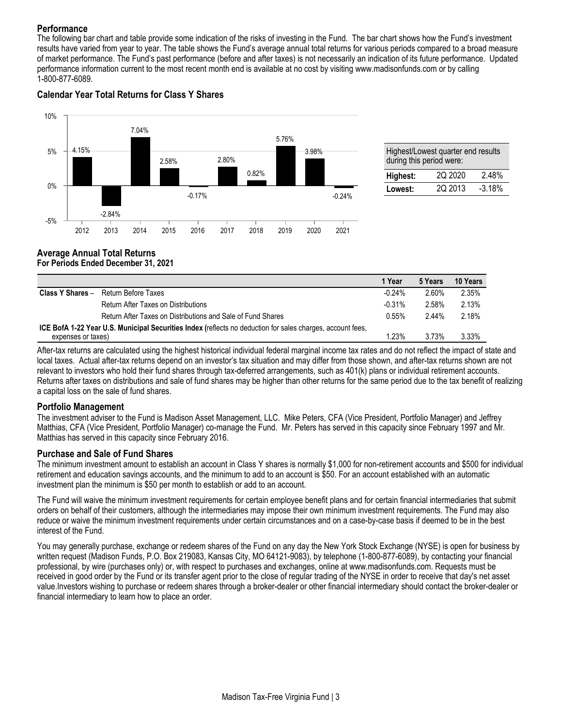# **Performance**

The following bar chart and table provide some indication of the risks of investing in the Fund. The bar chart shows how the Fund's investment results have varied from year to year. The table shows the Fund's average annual total returns for various periods compared to a broad measure of market performance. The Fund's past performance (before and after taxes) is not necessarily an indication of its future performance. Updated performance information current to the most recent month end is available at no cost by visiting www.madisonfunds.com or by calling 1-800-877-6089.

# **Calendar Year Total Returns for Class Y Shares**



| Highest/Lowest quarter end results<br>during this period were: |         |          |  |  |  |
|----------------------------------------------------------------|---------|----------|--|--|--|
| Highest:                                                       | 2Q 2020 | 2.48%    |  |  |  |
| Lowest:                                                        | 2Q 2013 | $-3.18%$ |  |  |  |

#### **Average Annual Total Returns For Periods Ended December 31, 2021**

|                                                                                                                                         |                                                             | 1 Year   | 5 Years | 10 Years |
|-----------------------------------------------------------------------------------------------------------------------------------------|-------------------------------------------------------------|----------|---------|----------|
| <b>Class Y Shares –</b>                                                                                                                 | Return Before Taxes                                         | $-0.24%$ | 2.60%   | 2.35%    |
|                                                                                                                                         | Return After Taxes on Distributions                         | $-0.31%$ | 2.58%   | 2.13%    |
|                                                                                                                                         | Return After Taxes on Distributions and Sale of Fund Shares | $0.55\%$ | 2.44%   | 2.18%    |
| <b>ICE BofA 1-22 Year U.S. Municipal Securities Index (reflects no deduction for sales charges, account fees,</b><br>expenses or taxes) |                                                             | 1.23%    | 3.73%   | 3.33%    |

After-tax returns are calculated using the highest historical individual federal marginal income tax rates and do not reflect the impact of state and local taxes. Actual after-tax returns depend on an investor's tax situation and may differ from those shown, and after-tax returns shown are not relevant to investors who hold their fund shares through tax-deferred arrangements, such as 401(k) plans or individual retirement accounts. Returns after taxes on distributions and sale of fund shares may be higher than other returns for the same period due to the tax benefit of realizing a capital loss on the sale of fund shares.

### **Portfolio Management**

The investment adviser to the Fund is Madison Asset Management, LLC. Mike Peters, CFA (Vice President, Portfolio Manager) and Jeffrey Matthias, CFA (Vice President, Portfolio Manager) co-manage the Fund. Mr. Peters has served in this capacity since February 1997 and Mr. Matthias has served in this capacity since February 2016.

### **Purchase and Sale of Fund Shares**

The minimum investment amount to establish an account in Class Y shares is normally \$1,000 for non-retirement accounts and \$500 for individual retirement and education savings accounts, and the minimum to add to an account is \$50. For an account established with an automatic investment plan the minimum is \$50 per month to establish or add to an account.

The Fund will waive the minimum investment requirements for certain employee benefit plans and for certain financial intermediaries that submit orders on behalf of their customers, although the intermediaries may impose their own minimum investment requirements. The Fund may also reduce or waive the minimum investment requirements under certain circumstances and on a case-by-case basis if deemed to be in the best interest of the Fund.

You may generally purchase, exchange or redeem shares of the Fund on any day the New York Stock Exchange (NYSE) is open for business by written request (Madison Funds, P.O. Box 219083, Kansas City, MO 64121-9083), by telephone (1-800-877-6089), by contacting your financial professional, by wire (purchases only) or, with respect to purchases and exchanges, online at www.madisonfunds.com. Requests must be received in good order by the Fund or its transfer agent prior to the close of regular trading of the NYSE in order to receive that day's net asset value.Investors wishing to purchase or redeem shares through a broker-dealer or other financial intermediary should contact the broker-dealer or financial intermediary to learn how to place an order.